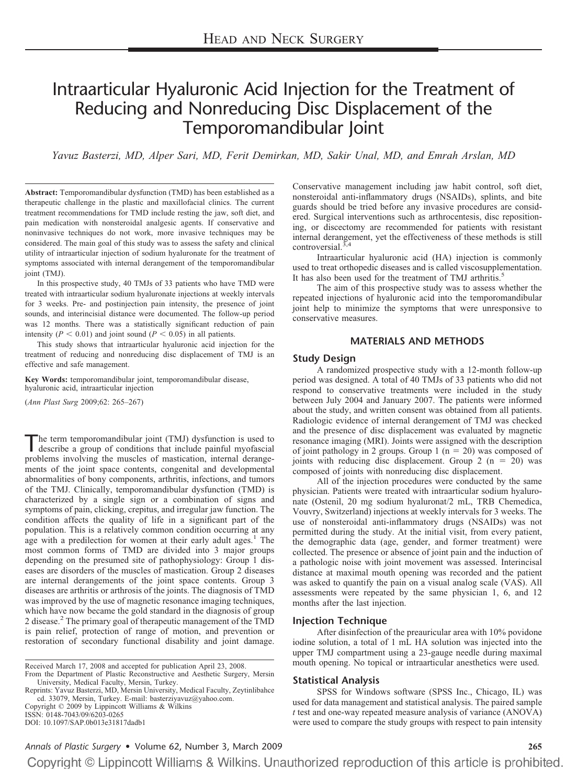# Intraarticular Hyaluronic Acid Injection for the Treatment of Reducing and Nonreducing Disc Displacement of the Temporomandibular Joint

*Yavuz Basterzi, MD, Alper Sari, MD, Ferit Demirkan, MD, Sakir Unal, MD, and Emrah Arslan, MD*

**Abstract:** Temporomandibular dysfunction (TMD) has been established as a therapeutic challenge in the plastic and maxillofacial clinics. The current treatment recommendations for TMD include resting the jaw, soft diet, and pain medication with nonsteroidal analgesic agents. If conservative and noninvasive techniques do not work, more invasive techniques may be considered. The main goal of this study was to assess the safety and clinical utility of intraarticular injection of sodium hyaluronate for the treatment of symptoms associated with internal derangement of the temporomandibular joint (TMJ).

In this prospective study, 40 TMJs of 33 patients who have TMD were treated with intraarticular sodium hyaluronate injections at weekly intervals for 3 weeks. Pre- and postinjection pain intensity, the presence of joint sounds, and interincisial distance were documented. The follow-up period was 12 months. There was a statistically significant reduction of pain intensity ( $P < 0.01$ ) and joint sound ( $P < 0.05$ ) in all patients.

This study shows that intraarticular hyaluronic acid injection for the treatment of reducing and nonreducing disc displacement of TMJ is an effective and safe management.

**Key Words:** temporomandibular joint, temporomandibular disease, hyaluronic acid, intraarticular injection

(*Ann Plast Surg* 2009;62: 265–267)

The term temporomandibular joint (TMJ) dysfunction is used to describe a group of conditions that include painful myofascial problems involving the muscles of mastication, internal derangements of the joint space contents, congenital and developmental abnormalities of bony components, arthritis, infections, and tumors of the TMJ. Clinically, temporomandibular dysfunction (TMD) is characterized by a single sign or a combination of signs and symptoms of pain, clicking, crepitus, and irregular jaw function. The condition affects the quality of life in a significant part of the population. This is a relatively common condition occurring at any age with a predilection for women at their early adult ages. $<sup>1</sup>$  The</sup> most common forms of TMD are divided into 3 major groups depending on the presumed site of pathophysiology: Group 1 diseases are disorders of the muscles of mastication. Group 2 diseases are internal derangements of the joint space contents. Group 3 diseases are arthritis or arthrosis of the joints. The diagnosis of TMD was improved by the use of magnetic resonance imaging techniques, which have now became the gold standard in the diagnosis of group 2 disease.2 The primary goal of therapeutic management of the TMD is pain relief, protection of range of motion, and prevention or restoration of secondary functional disability and joint damage.

Reprints: Yavuz Basterzi, MD, Mersin University, Medical Faculty, Zeytinlibahce cd. 33079, Mersin, Turkey. E-mail: basterziyavuz@yahoo.com. Copyright © 2009 by Lippincott Williams & Wilkins

ISSN: 0148-7043/09/6203-0265

DOI: 10.1097/SAP.0b013e31817dadb1

Conservative management including jaw habit control, soft diet, nonsteroidal anti-inflammatory drugs (NSAIDs), splints, and bite guards should be tried before any invasive procedures are considered. Surgical interventions such as arthrocentesis, disc repositioning, or discectomy are recommended for patients with resistant internal derangement, yet the effectiveness of these methods is still controversial. $3,4$ 

Intraarticular hyaluronic acid (HA) injection is commonly used to treat orthopedic diseases and is called viscosupplementation. It has also been used for the treatment of TMJ arthritis.<sup>5</sup>

The aim of this prospective study was to assess whether the repeated injections of hyaluronic acid into the temporomandibular joint help to minimize the symptoms that were unresponsive to conservative measures.

#### **MATERIALS AND METHODS**

#### **Study Design**

A randomized prospective study with a 12-month follow-up period was designed. A total of 40 TMJs of 33 patients who did not respond to conservative treatments were included in the study between July 2004 and January 2007. The patients were informed about the study, and written consent was obtained from all patients. Radiologic evidence of internal derangement of TMJ was checked and the presence of disc displacement was evaluated by magnetic resonance imaging (MRI). Joints were assigned with the description of joint pathology in 2 groups. Group  $1 (n = 20)$  was composed of joints with reducing disc displacement. Group  $2(n = 20)$  was composed of joints with nonreducing disc displacement.

All of the injection procedures were conducted by the same physician. Patients were treated with intraarticular sodium hyaluronate (Ostenil, 20 mg sodium hyaluronat/2 mL, TRB Chemedica, Vouvry, Switzerland) injections at weekly intervals for 3 weeks. The use of nonsteroidal anti-inflammatory drugs (NSAIDs) was not permitted during the study. At the initial visit, from every patient, the demographic data (age, gender, and former treatment) were collected. The presence or absence of joint pain and the induction of a pathologic noise with joint movement was assessed. Interincisal distance at maximal mouth opening was recorded and the patient was asked to quantify the pain on a visual analog scale (VAS). All assessments were repeated by the same physician 1, 6, and 12 months after the last injection.

#### **Injection Technique**

After disinfection of the preauricular area with 10% povidone iodine solution, a total of 1 mL HA solution was injected into the upper TMJ compartment using a 23-gauge needle during maximal mouth opening. No topical or intraarticular anesthetics were used.

#### **Statistical Analysis**

SPSS for Windows software (SPSS Inc., Chicago, IL) was used for data management and statistical analysis. The paired sample *t* test and one-way repeated measure analysis of variance (ANOVA) were used to compare the study groups with respect to pain intensity

Received March 17, 2008 and accepted for publication April 23, 2008.

From the Department of Plastic Reconstructive and Aesthetic Surgery, Mersin University, Medical Faculty, Mersin, Turkey.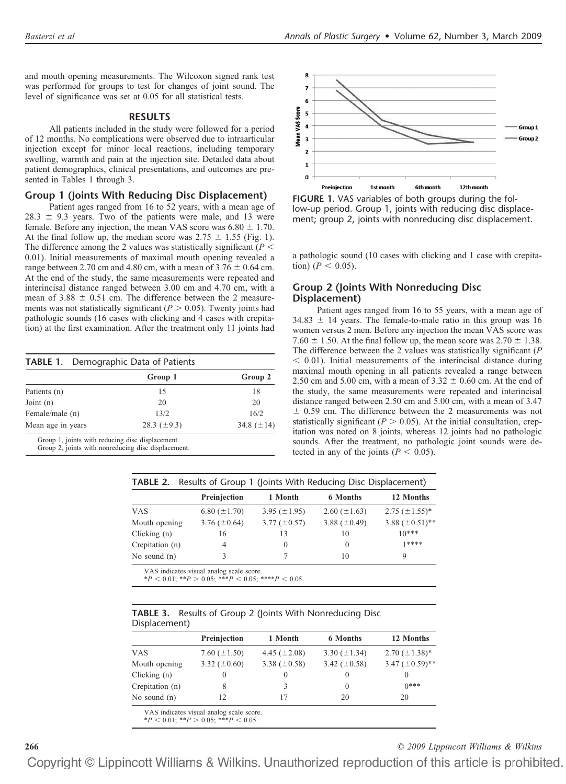and mouth opening measurements. The Wilcoxon signed rank test was performed for groups to test for changes of joint sound. The level of significance was set at 0.05 for all statistical tests.

#### **RESULTS**

All patients included in the study were followed for a period of 12 months. No complications were observed due to intraarticular injection except for minor local reactions, including temporary swelling, warmth and pain at the injection site. Detailed data about patient demographics, clinical presentations, and outcomes are presented in Tables 1 through 3.

#### **Group 1 (Joints With Reducing Disc Displacement)**

Patient ages ranged from 16 to 52 years, with a mean age of  $28.3 \pm 9.3$  years. Two of the patients were male, and 13 were female. Before any injection, the mean VAS score was  $6.80 \pm 1.70$ . At the final follow up, the median score was  $2.75 \pm 1.55$  (Fig. 1). The difference among the 2 values was statistically significant  $(P <$ 0.01). Initial measurements of maximal mouth opening revealed a range between 2.70 cm and 4.80 cm, with a mean of  $3.76 \pm 0.64$  cm. At the end of the study, the same measurements were repeated and interincisal distance ranged between 3.00 cm and 4.70 cm, with a mean of  $3.88 \pm 0.51$  cm. The difference between the 2 measurements was not statistically significant ( $P > 0.05$ ). Twenty joints had pathologic sounds (16 cases with clicking and 4 cases with crepitation) at the first examination. After the treatment only 11 joints had

| <b>TABLE 1.</b> Demographic Data of Patients | Group 1          | Group 2         |
|----------------------------------------------|------------------|-----------------|
| Patients (n)                                 | 15               | 18              |
| Joint $(n)$                                  | 20               | 20              |
| Female/male (n)                              | 13/2             | 16/2            |
| Mean age in years                            | 28.3 $(\pm 9.3)$ | 34.8 $(\pm 14)$ |

Group 2, joints with nonreducing disc displacement.



**FIGURE 1.** VAS variables of both groups during the follow-up period. Group 1, joints with reducing disc displacement; group 2, joints with nonreducing disc displacement.

a pathologic sound (10 cases with clicking and 1 case with crepitation) ( $P < 0.05$ ).

### **Group 2 (Joints With Nonreducing Disc Displacement)**

Patient ages ranged from 16 to 55 years, with a mean age of  $34.83 \pm 14$  years. The female-to-male ratio in this group was 16 women versus 2 men. Before any injection the mean VAS score was 7.60  $\pm$  1.50. At the final follow up, the mean score was 2.70  $\pm$  1.38. The difference between the 2 values was statistically significant (*P*  $<$  0.01). Initial measurements of the interincisal distance during maximal mouth opening in all patients revealed a range between 2.50 cm and 5.00 cm, with a mean of  $3.32 \pm 0.60$  cm. At the end of the study, the same measurements were repeated and interincisal distance ranged between 2.50 cm and 5.00 cm, with a mean of 3.47  $\pm$  0.59 cm. The difference between the 2 measurements was not statistically significant ( $P > 0.05$ ). At the initial consultation, crepitation was noted on 8 joints, whereas 12 joints had no pathologic sounds. After the treatment, no pathologic joint sounds were detected in any of the joints ( $P < 0.05$ ).

|                 | <b>TABLE 2.</b> Results of Group 1 (Joints With Reducing Disc Displacement) |                   |                   |                       |  |
|-----------------|-----------------------------------------------------------------------------|-------------------|-------------------|-----------------------|--|
|                 | Preinjection                                                                | 1 Month           | 6 Months          | 12 Months             |  |
| <b>VAS</b>      | 6.80 $(\pm 1.70)$                                                           | 3.95 $(\pm 1.95)$ | 2.60 $(\pm 1.63)$ | $2.75 \ (\pm 1.55)^*$ |  |
| Mouth opening   | 3.76 $(\pm 0.64)$                                                           | $3.77 (\pm 0.57)$ | 3.88 $(\pm 0.49)$ | 3.88 $(\pm 0.51)$ **  |  |
| Clicking $(n)$  | 16                                                                          | 13                | 10                | $10***$               |  |
| Crepitation (n) | 4                                                                           | $\theta$          | $\theta$          | 1****                 |  |
| No sound $(n)$  |                                                                             |                   | 10                | 9                     |  |

VAS indicates visual analog scale score.

 $*P < 0.01$ ;  $**P > 0.05$ ;  $***P < 0.05$ ;  $***P < 0.05$ .

|               | <b>TABLE 3.</b> Results of Group 2 (Joints With Nonreducing Disc |  |  |  |  |  |
|---------------|------------------------------------------------------------------|--|--|--|--|--|
| Displacement) |                                                                  |  |  |  |  |  |

|                 | Preinjection      | 1 Month           | <b>6 Months</b>   | 12 Months            |  |
|-----------------|-------------------|-------------------|-------------------|----------------------|--|
| VAS             | 7.60 $(\pm 1.50)$ | 4.45 $(\pm 2.08)$ | 3.30 $(\pm 1.34)$ | $2.70~(\pm 1.38)^*$  |  |
| Mouth opening   | 3.32 $(\pm 0.60)$ | 3.38 $(\pm 0.58)$ | 3.42 $(\pm 0.58)$ | 3.47 $(\pm 0.59)$ ** |  |
| Clicking $(n)$  |                   | $_{0}$            |                   |                      |  |
| Crepitation (n) | 8                 |                   | $\theta$          | $0***$               |  |
| No sound $(n)$  | 12                |                   | 20                | 20                   |  |

VAS indicates visual analog scale score.

 $*P < 0.01$ ;  $*P > 0.05$ ;  $**P < 0.05$ .

**266** *© 2009 Lippincott Williams & Wilkins*

Copyright © Lippincott Williams & Wilkins. Unauthorized reproduction of this article is prohibited.